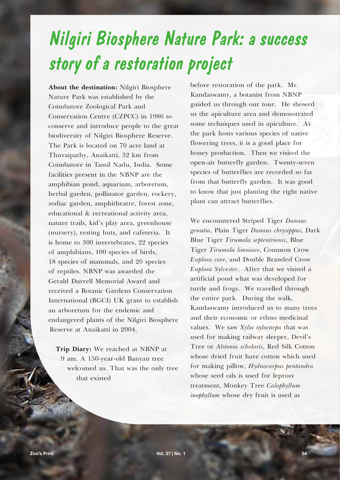## *Nilgiri Biosphere Nature Park: a success story of a restoration project*

**About the destination:** Nilgiri Biosphere Nature Park was established by the Coimbatore Zoological Park and Conservation Centre (CZPCC) in 1986 to conserve and introduce people to the great biodiversity of Nilgiri Biosphere Reserve. The Park is located on 70 acre land at Thuvaipathy, Anaikatti, 32 km from Coimbatore in Tamil Nadu, India. Some facilities present in the NBNP are the amphibian pond, aquarium, arboretum, herbal garden, pollinator garden, rockery, zodiac garden, amphitheatre, forest zone, educational & recreational activity area, nature trails, kid's play area, greenhouse (nursery), resting huts, and cafeteria. It is home to 300 invertebrates, 22 species of amphibians, 100 species of birds, 18 species of mammals, and 20 species of reptiles. NBNP was awarded the Gerald Durrell Memorial Award and received a Botanic Gardens Conservation International (BGCI) UK grant to establish an arboretum for the endemic and endangered plants of the Nilgiri Biosphere Reserve at Anaikatti in 2004.

**Trip Diary:** We reached at NBNP at 9 am. A 150-year-old Banyan tree welcomed us. That was the only tree that existed

before restoration of the park. Mr. Kandaswamy, a botanist from NBNP guided us through our tour. He showed us the apiculture area and demonstrated some techniques used in apiculture. As the park hosts various species of native flowering trees, it is a good place for honey production. Then we visited the open-air butterfly garden. Twenty-seven species of butterflies are recorded so far from that butterfly garden. It was good to know that just planting the right native plant can attract butterflies.

We encountered Striped Tiger *Danaus genutia*, Plain Tiger *Danaus chrysippus*, Dark Blue Tiger *Tirumala septentrionis*, Blue Tiger *Tirumala limniace*, Common Crow *Euploea core*, and Double Branded Crow *Euploea Sylvester*. After that we visited a artificial pond what was developed for turtle and frogs. We travelled through the entire park. During the walk, Kandaswamy introduced us to many trees and their economic or ethno medicinal values. We saw *Xylia xylocarpa* that was used for making railway sleeper, Devil's Tree or *Alstonia scholaris*, Red Silk Cotton whose dried fruit have cotton which used for making pillow, *Hydnocarpus pentandra* whose seed oils is used for leprosy treatment, Monkey Tree *Calophyllum inophyllum* whose dry fruit is used as